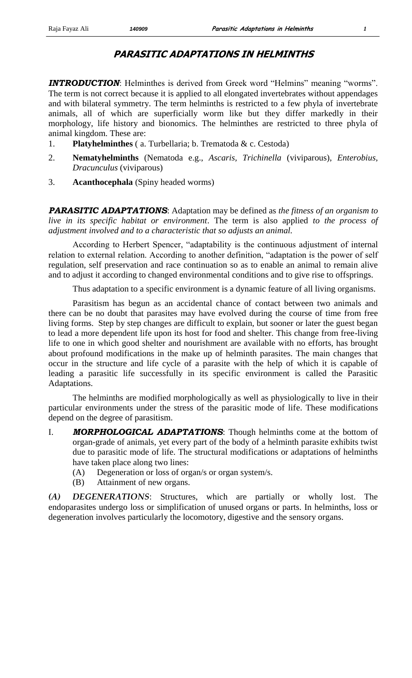## **PARASITIC ADAPTATIONS IN HELMINTHS**

**INTRODUCTION**: Helminthes is derived from Greek word "Helmins" meaning "worms". The term is not correct because it is applied to all elongated invertebrates without appendages and with bilateral symmetry. The term helminths is restricted to a few phyla of invertebrate animals, all of which are superficially worm like but they differ markedly in their morphology, life history and bionomics. The helminthes are restricted to three phyla of animal kingdom. These are:

- 1. **Platyhelminthes** ( a. Turbellaria; b. Trematoda & c. Cestoda)
- 2. **Nematyhelminths** (Nematoda e.g., *Ascaris, Trichinella* (viviparous), *Enterobius, Dracunculus* (viviparous)
- 3. **Acanthocephala** (Spiny headed worms)

*PARASITIC ADAPTATIONS*: Adaptation may be defined as *the fitness of an organism to live in its specific habitat or environment*. The term is also applied *to the process of adjustment involved and to a characteristic that so adjusts an animal.*

According to Herbert Spencer, "adaptability is the continuous adjustment of internal relation to external relation. According to another definition, "adaptation is the power of self regulation, self preservation and race continuation so as to enable an animal to remain alive and to adjust it according to changed environmental conditions and to give rise to offsprings.

Thus adaptation to a specific environment is a dynamic feature of all living organisms.

Parasitism has begun as an accidental chance of contact between two animals and there can be no doubt that parasites may have evolved during the course of time from free living forms. Step by step changes are difficult to explain, but sooner or later the guest began to lead a more dependent life upon its host for food and shelter. This change from free-living life to one in which good shelter and nourishment are available with no efforts, has brought about profound modifications in the make up of helminth parasites. The main changes that occur in the structure and life cycle of a parasite with the help of which it is capable of leading a parasitic life successfully in its specific environment is called the Parasitic Adaptations.

The helminths are modified morphologically as well as physiologically to live in their particular environments under the stress of the parasitic mode of life. These modifications depend on the degree of parasitism.

- I. *MORPHOLOGICAL ADAPTATIONS*: Though helminths come at the bottom of organ-grade of animals, yet every part of the body of a helminth parasite exhibits twist due to parasitic mode of life. The structural modifications or adaptations of helminths have taken place along two lines:
	- (A) Degeneration or loss of organ/s or organ system/s.
	- (B) Attainment of new organs.

*(A) DEGENERATIONS*: Structures, which are partially or wholly lost. The endoparasites undergo loss or simplification of unused organs or parts. In helminths, loss or degeneration involves particularly the locomotory, digestive and the sensory organs.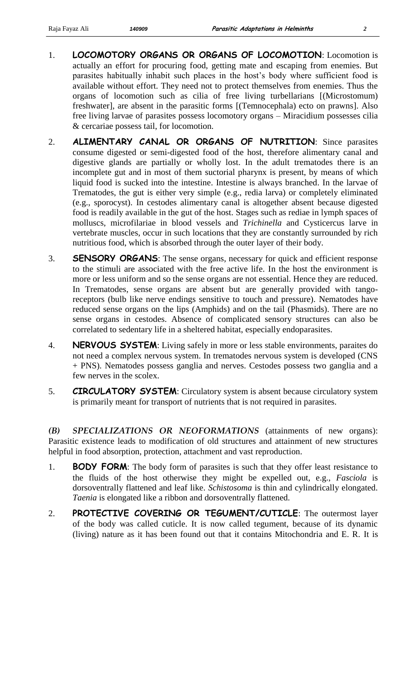- 1. **LOCOMOTORY ORGANS OR ORGANS OF LOCOMOTION**: Locomotion is actually an effort for procuring food, getting mate and escaping from enemies. But parasites habitually inhabit such places in the host's body where sufficient food is available without effort. They need not to protect themselves from enemies. Thus the organs of locomotion such as cilia of free living turbellarians [(Microstomum) freshwater], are absent in the parasitic forms [(Temnocephala) ecto on prawns]. Also free living larvae of parasites possess locomotory organs – Miracidium possesses cilia & cercariae possess tail, for locomotion.
- 2. **ALIMENTARY CANAL OR ORGANS OF NUTRITION**: Since parasites consume digested or semi-digested food of the host, therefore alimentary canal and digestive glands are partially or wholly lost. In the adult trematodes there is an incomplete gut and in most of them suctorial pharynx is present, by means of which liquid food is sucked into the intestine. Intestine is always branched. In the larvae of Trematodes, the gut is either very simple (e.g., redia larva) or completely eliminated (e.g., sporocyst). In cestodes alimentary canal is altogether absent because digested food is readily available in the gut of the host. Stages such as rediae in lymph spaces of molluscs, microfilariae in blood vessels and *Trichinella* and Cysticercus larve in vertebrate muscles, occur in such locations that they are constantly surrounded by rich nutritious food, which is absorbed through the outer layer of their body.
- 3. **SENSORY ORGANS**: The sense organs, necessary for quick and efficient response to the stimuli are associated with the free active life. In the host the environment is more or less uniform and so the sense organs are not essential. Hence they are reduced. In Trematodes, sense organs are absent but are generally provided with tangoreceptors (bulb like nerve endings sensitive to touch and pressure). Nematodes have reduced sense organs on the lips (Amphids) and on the tail (Phasmids). There are no sense organs in cestodes. Absence of complicated sensory structures can also be correlated to sedentary life in a sheltered habitat, especially endoparasites.
- 4. **NERVOUS SYSTEM**: Living safely in more or less stable environments, paraites do not need a complex nervous system. In trematodes nervous system is developed (CNS + PNS). Nematodes possess ganglia and nerves. Cestodes possess two ganglia and a few nerves in the scolex.
- 5. **CIRCULATORY SYSTEM**: Circulatory system is absent because circulatory system is primarily meant for transport of nutrients that is not required in parasites.

*(B) SPECIALIZATIONS OR NEOFORMATIONS* (attainments of new organs): Parasitic existence leads to modification of old structures and attainment of new structures helpful in food absorption, protection, attachment and vast reproduction.

- 1. **BODY FORM:** The body form of parasites is such that they offer least resistance to the fluids of the host otherwise they might be expelled out, e.g., *Fasciola* is dorsoventrally flattened and leaf like. *Schistosoma* is thin and cylindrically elongated. *Taenia* is elongated like a ribbon and dorsoventrally flattened.
- 2. **PROTECTIVE COVERING OR TEGUMENT/CUTICLE**: The outermost layer of the body was called cuticle. It is now called tegument, because of its dynamic (living) nature as it has been found out that it contains Mitochondria and E. R. It is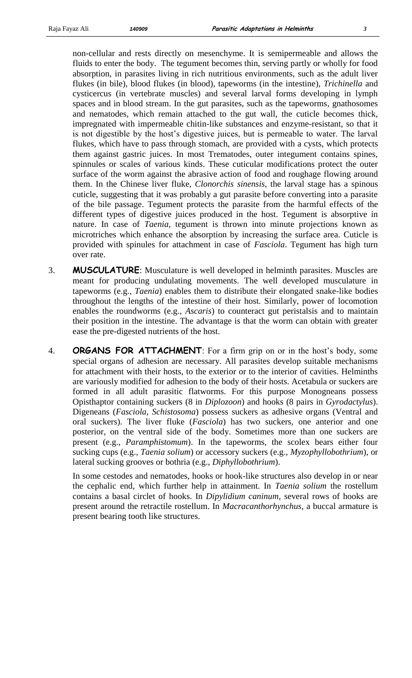non-cellular and rests directly on mesenchyme. It is semipermeable and allows the fluids to enter the body. The tegument becomes thin, serving partly or wholly for food absorption, in parasites living in rich nutritious environments, such as the adult liver flukes (in bile), blood flukes (in blood), tapeworms (in the intestine), *Trichinella* and cysticercus (in vertebrate muscles) and several larval forms developing in lymph spaces and in blood stream. In the gut parasites, such as the tapeworms, gnathosomes and nematodes, which remain attached to the gut wall, the cuticle becomes thick, impregnated with impermeable chitin-like substances and enzyme-resistant, so that it is not digestible by the host's digestive juices, but is permeable to water. The larval flukes, which have to pass through stomach, are provided with a cysts, which protects them against gastric juices. In most Trematodes, outer integument contains spines, spinnules or scales of various kinds. These cuticular modifications protect the outer surface of the worm against the abrasive action of food and roughage flowing around them. In the Chinese liver fluke, *Clonorchis sinensis*, the larval stage has a spinous cuticle, suggesting that it was probably a gut parasite before converting into a parasite of the bile passage. Tegument protects the parasite from the harmful effects of the different types of digestive juices produced in the host. Tegument is absorptive in nature. In case of *Taenia*, tegument is thrown into minute projections known as microtriches which enhance the absorption by increasing the surface area. Cuticle is provided with spinules for attachment in case of *Fasciola*. Tegument has high turn over rate.

- 3. **MUSCULATURE**: Musculature is well developed in helminth parasites. Muscles are meant for producing undulating movements. The well developed musculature in tapeworms (e.g., *Taenia*) enables them to distribute their elongated snake-like bodies throughout the lengths of the intestine of their host. Similarly, power of locomotion enables the roundworms (e.g., *Ascaris*) to counteract gut peristalsis and to maintain their position in the intestine. The advantage is that the worm can obtain with greater ease the pre-digested nutrients of the host.
- 4. **ORGANS FOR ATTACHMENT**: For a firm grip on or in the host's body, some special organs of adhesion are necessary. All parasites develop suitable mechanisms for attachment with their hosts, to the exterior or to the interior of cavities. Helminths are variously modified for adhesion to the body of their hosts. Acetabula or suckers are formed in all adult parasitic flatworms. For this purpose Monogneans possess Opisthaptor containing suckers (8 in *Diplozoon*) and hooks (8 pairs in *Gyrodactylus*). Digeneans (*Fasciola, Schistosoma*) possess suckers as adhesive organs (Ventral and oral suckers). The liver fluke (*Fasciola*) has two suckers, one anterior and one posterior, on the ventral side of the body. Sometimes more than one suckers are present (e.g., *Paramphistomum*). In the tapeworms, the scolex bears either four sucking cups (e.g., *Taenia solium*) or accessory suckers (e.g., *Myzophyllobothrium*), or lateral sucking grooves or bothria (e.g., *Diphyllobothrium*).

In some cestodes and nematodes, hooks or hook-like structures also develop in or near the cephalic end, which further help in attainment. In *Taenia solium* the rostellum contains a basal circlet of hooks. In *Dipylidium caninum,* several rows of hooks are present around the retractile rostellum. In *Macracanthorhynchus*, a buccal armature is present bearing tooth like structures.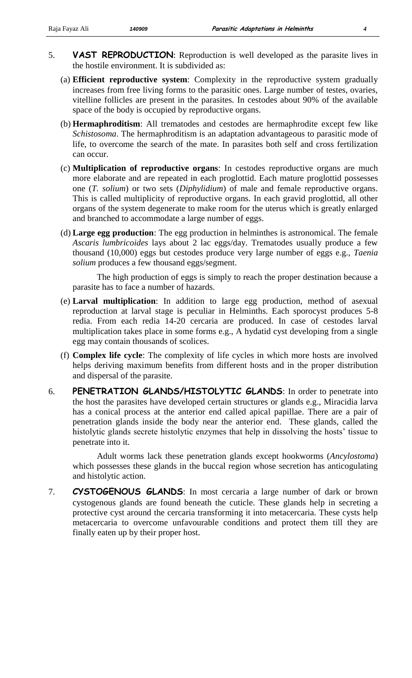- 5. **VAST REPRODUCTION**: Reproduction is well developed as the parasite lives in the hostile environment. It is subdivided as:
	- (a) **Efficient reproductive system**: Complexity in the reproductive system gradually increases from free living forms to the parasitic ones. Large number of testes, ovaries, vitelline follicles are present in the parasites. In cestodes about 90% of the available space of the body is occupied by reproductive organs.
	- (b) **Hermaphroditism**: All trematodes and cestodes are hermaphrodite except few like *Schistosoma*. The hermaphroditism is an adaptation advantageous to parasitic mode of life, to overcome the search of the mate. In parasites both self and cross fertilization can occur.
	- (c) **Multiplication of reproductive organs**: In cestodes reproductive organs are much more elaborate and are repeated in each proglottid. Each mature proglottid possesses one (*T. solium*) or two sets (*Diphylidium*) of male and female reproductive organs. This is called multiplicity of reproductive organs. In each gravid proglottid, all other organs of the system degenerate to make room for the uterus which is greatly enlarged and branched to accommodate a large number of eggs.
	- (d) **Large egg production**: The egg production in helminthes is astronomical. The female *Ascaris lumbricoides* lays about 2 lac eggs/day. Trematodes usually produce a few thousand (10,000) eggs but cestodes produce very large number of eggs e.g., *Taenia solium* produces a few thousand eggs/segment.

The high production of eggs is simply to reach the proper destination because a parasite has to face a number of hazards.

- (e) **Larval multiplication**: In addition to large egg production, method of asexual reproduction at larval stage is peculiar in Helminths. Each sporocyst produces 5-8 redia. From each redia 14-20 cercaria are produced. In case of cestodes larval multiplication takes place in some forms e.g., A hydatid cyst developing from a single egg may contain thousands of scolices.
- (f) **Complex life cycle**: The complexity of life cycles in which more hosts are involved helps deriving maximum benefits from different hosts and in the proper distribution and dispersal of the parasite.
- 6. **PENETRATION GLANDS/HISTOLYTIC GLANDS**: In order to penetrate into the host the parasites have developed certain structures or glands e.g., Miracidia larva has a conical process at the anterior end called apical papillae. There are a pair of penetration glands inside the body near the anterior end. These glands, called the histolytic glands secrete histolytic enzymes that help in dissolving the hosts' tissue to penetrate into it.

Adult worms lack these penetration glands except hookworms (*Ancylostoma*) which possesses these glands in the buccal region whose secretion has anticogulating and histolytic action.

7. **CYSTOGENOUS GLANDS**: In most cercaria a large number of dark or brown cystogenous glands are found beneath the cuticle. These glands help in secreting a protective cyst around the cercaria transforming it into metacercaria. These cysts help metacercaria to overcome unfavourable conditions and protect them till they are finally eaten up by their proper host.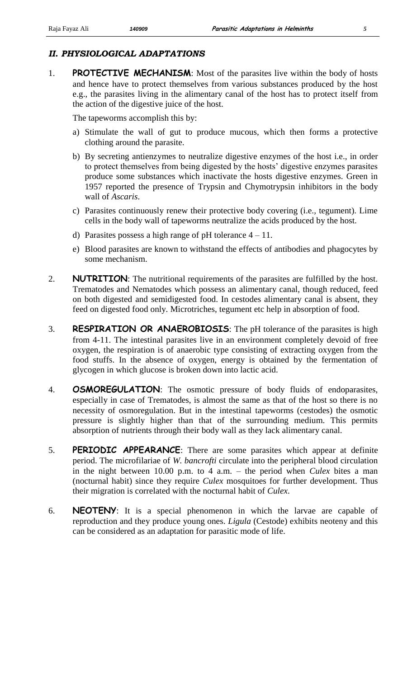## *II. PHYSIOLOGICAL ADAPTATIONS*

1. **PROTECTIVE MECHANISM**: Most of the parasites live within the body of hosts and hence have to protect themselves from various substances produced by the host e.g., the parasites living in the alimentary canal of the host has to protect itself from the action of the digestive juice of the host.

The tapeworms accomplish this by:

- a) Stimulate the wall of gut to produce mucous, which then forms a protective clothing around the parasite.
- b) By secreting antienzymes to neutralize digestive enzymes of the host i.e., in order to protect themselves from being digested by the hosts' digestive enzymes parasites produce some substances which inactivate the hosts digestive enzymes. Green in 1957 reported the presence of Trypsin and Chymotrypsin inhibitors in the body wall of *Ascaris*.
- c) Parasites continuously renew their protective body covering (i.e., tegument). Lime cells in the body wall of tapeworms neutralize the acids produced by the host.
- d) Parasites possess a high range of pH tolerance  $4 11$ .
- e) Blood parasites are known to withstand the effects of antibodies and phagocytes by some mechanism.
- 2. **NUTRITION**: The nutritional requirements of the parasites are fulfilled by the host. Trematodes and Nematodes which possess an alimentary canal, though reduced, feed on both digested and semidigested food. In cestodes alimentary canal is absent, they feed on digested food only. Microtriches, tegument etc help in absorption of food.
- 3. **RESPIRATION OR ANAEROBIOSIS**: The pH tolerance of the parasites is high from 4-11. The intestinal parasites live in an environment completely devoid of free oxygen, the respiration is of anaerobic type consisting of extracting oxygen from the food stuffs. In the absence of oxygen, energy is obtained by the fermentation of glycogen in which glucose is broken down into lactic acid.
- 4. **OSMOREGULATION**: The osmotic pressure of body fluids of endoparasites, especially in case of Trematodes, is almost the same as that of the host so there is no necessity of osmoregulation. But in the intestinal tapeworms (cestodes) the osmotic pressure is slightly higher than that of the surrounding medium. This permits absorption of nutrients through their body wall as they lack alimentary canal.
- 5. **PERIODIC APPEARANCE**: There are some parasites which appear at definite period. The microfilariae of *W. bancrofti* circulate into the peripheral blood circulation in the night between 10.00 p.m. to 4 a.m. – the period when *Culex* bites a man (nocturnal habit) since they require *Culex* mosquitoes for further development. Thus their migration is correlated with the nocturnal habit of *Culex*.
- 6. **NEOTENY**: It is a special phenomenon in which the larvae are capable of reproduction and they produce young ones. *Ligula* (Cestode) exhibits neoteny and this can be considered as an adaptation for parasitic mode of life.